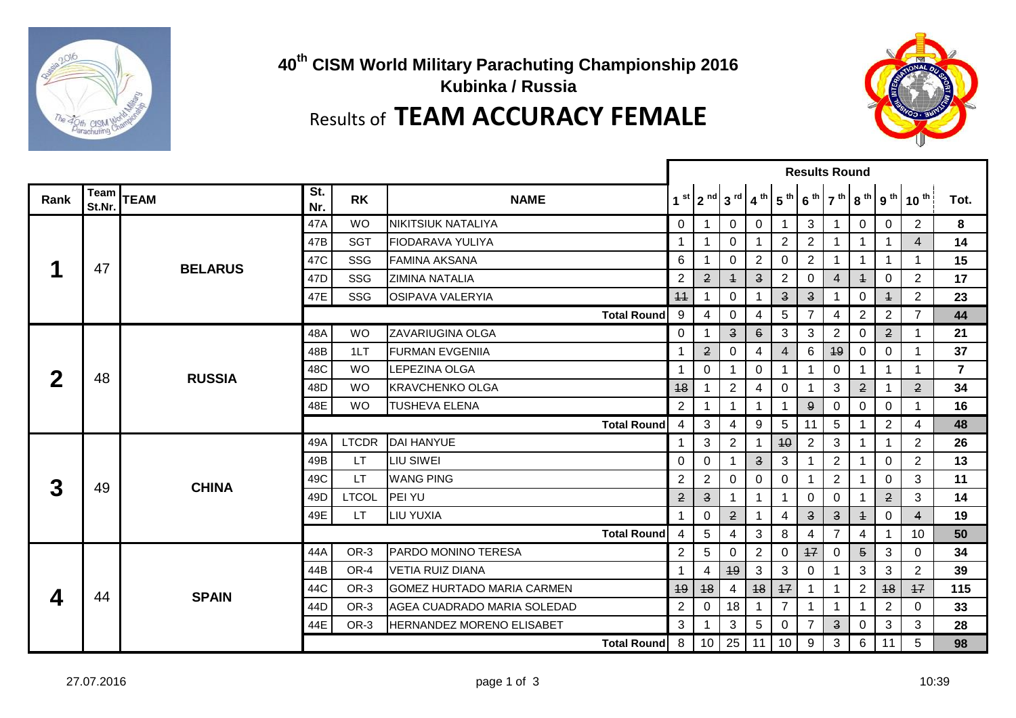

## **40th CISM World Military Parachuting Championship 2016 Kubinka / Russia** Results of **TEAM ACCURACY FEMALE**



|      |                |                |            |              |                                   | <b>Results Round</b> |                         |                          |                          |                         |                         |                         |                |                                                          |                |                |
|------|----------------|----------------|------------|--------------|-----------------------------------|----------------------|-------------------------|--------------------------|--------------------------|-------------------------|-------------------------|-------------------------|----------------|----------------------------------------------------------|----------------|----------------|
| Rank | Team<br>St.Nr. | <b>TEAM</b>    | St.<br>Nr. | <b>RK</b>    | <b>NAME</b>                       |                      |                         | $1st$   $2nd$   $3rd$    | $\mathbf{4}^{\text{th}}$ | $15^{th}$               |                         |                         |                | $6^{th}$ 7 <sup>th</sup> 8 <sup>th</sup> 9 <sup>th</sup> | $10^{th}$      | Tot.           |
|      |                |                | 47A        | <b>WO</b>    | NIKITSIUK NATALIYA                | $\mathbf 0$          | -1                      | 0                        | $\Omega$                 | 1                       | 3                       | 1                       | $\Omega$       | $\Omega$                                                 | $\overline{2}$ | 8              |
|      |                |                | 47B        | <b>SGT</b>   | <b>IFIODARAVA YULIYA</b>          | 1                    | -1                      | 0                        | $\mathbf 1$              | $\mathbf{2}$            | $\overline{2}$          |                         | 1              | 1                                                        | $\overline{4}$ | 14             |
|      | 47             | <b>BELARUS</b> | 47C        | SSG          | <b>FAMINA AKSANA</b>              | 6                    | 1                       | $\Omega$                 | 2                        | $\Omega$                | $\overline{2}$          | 1                       | 1              | 1                                                        | $\mathbf{1}$   | 15             |
|      |                |                | 47D        | SSG          | <b>ZIMINA NATALIA</b>             | 2                    | $\mathbf{2}$            | $\overline{+}$           | $\overline{\mathbf{3}}$  | $\overline{2}$          | 0                       | 4                       | $\ddagger$     | 0                                                        | $\overline{2}$ | 17             |
|      |                |                | 47E        | SSG          | <b>OSIPAVA VALERYIA</b>           | 44                   |                         | 0                        |                          | $\overline{\mathbf{3}}$ | $\overline{\mathbf{3}}$ |                         | 0              | $\ddagger$                                               | $\overline{2}$ | 23             |
|      |                |                |            |              | <b>Total Round</b>                | 9                    | 4                       | $\Omega$                 | 4                        | 5                       | $\overline{7}$          | 4                       | $\overline{2}$ | $\overline{2}$                                           | $\overline{7}$ | 44             |
|      |                | <b>RUSSIA</b>  | 48A        | <b>WO</b>    | <b>ZAVARIUGINA OLGA</b>           | $\mathbf 0$          | -1                      | $\overline{\mathbf{3}}$  | $6 \theta$               | $\sqrt{3}$              | 3                       | $\overline{c}$          | 0              | $\mathbf{2}$                                             | 1              | 21             |
|      |                |                | 48B        | 1LT          | <b>FURMAN EVGENIIA</b>            | -1                   | $\overline{2}$          | 0                        | 4                        | $\overline{4}$          | 6                       | 49                      | 0              | $\mathbf 0$                                              | $\mathbf 1$    | 37             |
| 2    | 48             |                | 48C        | <b>WO</b>    | LEPEZINA OLGA                     |                      | $\Omega$                |                          | $\Omega$                 | 1                       | 1                       | 0                       |                | 1                                                        | $\mathbf{1}$   | $\overline{7}$ |
|      |                |                | 48D        | <b>WO</b>    | <b>KRAVCHENKO OLGA</b>            | 48                   |                         | $\overline{2}$           | 4                        | 0                       |                         | 3                       | $\mathbf{2}$   |                                                          | $\mathbf{2}$   | 34             |
|      |                |                | 48E        | <b>WO</b>    | <b>TUSHEVA ELENA</b>              | 2                    |                         | $\overline{\phantom{a}}$ | 1                        | 1                       | 9                       | 0                       | 0              | 0                                                        | 1              | 16             |
|      |                |                |            |              | <b>Total Round</b>                | 4                    | 3                       | 4                        | 9                        | $\sqrt{5}$              | 11                      | $\sqrt{5}$              |                | $\mathbf{2}$                                             | 4              | 48             |
|      |                | <b>CHINA</b>   | 49A        | <b>LTCDR</b> | DAI HANYUE                        | -1                   | 3                       | $\overline{2}$           | 1                        | 40                      | $\overline{2}$          | 3                       | 1              | 1                                                        | 2              | 26             |
|      |                |                | 49B        | LT.          | <b>LIU SIWEI</b>                  | $\Omega$             | $\Omega$                |                          | $\overline{\mathbf{3}}$  | 3                       | 1                       | $\overline{2}$          |                | $\Omega$                                                 | $\overline{2}$ | 13             |
| 3    | 49             |                | 49C        | LT.          | <b>WANG PING</b>                  | 2                    | $\overline{2}$          | $\Omega$                 | $\Omega$                 | 0                       | 1                       | $\overline{c}$          |                | $\Omega$                                                 | 3              | 11             |
|      |                |                | 49D        | <b>LTCOL</b> | PEI YU                            | $\mathbf{2}$         | $\overline{\mathbf{3}}$ |                          | 1                        | 1                       | 0                       | 0                       |                | $\mathbf{2}$                                             | 3              | 14             |
|      |                |                | 49E        | <b>LT</b>    | <b>LIU YUXIA</b>                  | 4                    | $\Omega$                | $\overline{2}$           | 1                        | $\overline{4}$          | $\overline{\mathbf{3}}$ | $\overline{\mathbf{3}}$ | $\overline{+}$ | 0                                                        | $\overline{4}$ | 19             |
|      |                |                |            |              | <b>Total Round</b>                | 4                    | $\overline{5}$          | 4                        | 3                        | 8                       | 4                       | $\overline{7}$          | 4              | 1                                                        | 10             | 50             |
|      |                |                | 44A        | OR-3         | <b>PARDO MONINO TERESA</b>        | 2                    | 5                       | $\Omega$                 | $\mathbf{2}$             | 0                       | 17                      | $\mathbf 0$             | $\overline{5}$ | 3                                                        | 0              | 34             |
|      |                |                | 44B        | OR-4         | <b>VETIA RUIZ DIANA</b>           | $\overline{ }$       | 4                       | 49                       | 3                        | 3                       | $\Omega$                |                         | 3              | 3                                                        | $\overline{2}$ | 39             |
| 4    | 44             | <b>SPAIN</b>   | 44C        | OR-3         | <b>GOMEZ HURTADO MARIA CARMEN</b> | 49                   | 48                      | 4                        | 48                       | 17                      | 1                       |                         | $\overline{2}$ | 48                                                       | 47             | 115            |
|      |                |                | 44D        | OR-3         | AGEA CUADRADO MARIA SOLEDAD       | 2                    | 0                       | 18                       | 1                        | $\overline{7}$          | 1                       | 1                       | 1              | $\overline{2}$                                           | 0              | 33             |
|      |                |                | 44E        | OR-3         | HERNANDEZ MORENO ELISABET         | 3                    |                         | 3                        | 5                        | $\Omega$                | $\overline{7}$          | $\overline{3}$          | $\Omega$       | 3                                                        | 3              | 28             |
|      |                |                |            |              | <b>Total Round</b>                | 8                    |                         | $10$ 25 11               |                          | 10                      | 9                       | 3                       | 6              | 11                                                       | 5              | 98             |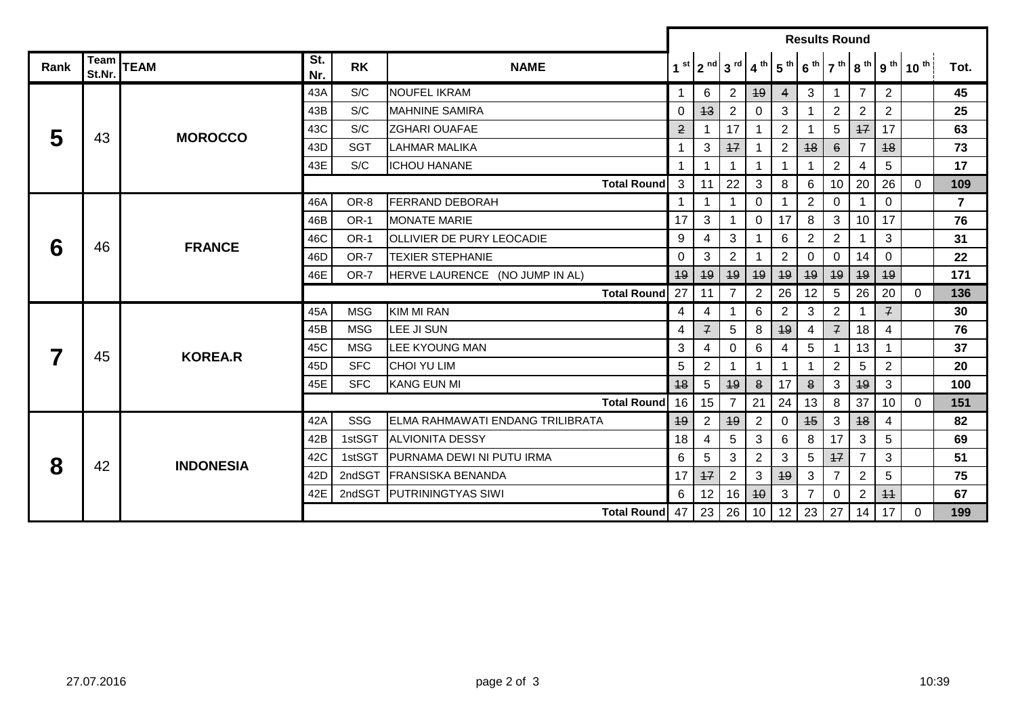|      |                |                  |            |             |                                   | <b>Results Round</b> |                      |                |                 |                         |                 |                |                |                |                                                                                                                                                             |                |
|------|----------------|------------------|------------|-------------|-----------------------------------|----------------------|----------------------|----------------|-----------------|-------------------------|-----------------|----------------|----------------|----------------|-------------------------------------------------------------------------------------------------------------------------------------------------------------|----------------|
| Rank | Team<br>St.Nr. | <b>TEAM</b>      | St.<br>Nr. | <b>RK</b>   | <b>NAME</b>                       |                      |                      |                |                 |                         |                 |                |                |                | $1^{st}$ 2 <sup>nd</sup> 3 <sup>rd</sup> 4 <sup>th</sup> 5 <sup>th</sup> 6 <sup>th</sup> 7 <sup>th</sup> 8 <sup>th</sup> 9 <sup>th</sup> 10 <sup>th</sup> ! | Tot.           |
|      |                |                  | 43A        | S/C         | <b>NOUFEL IKRAM</b>               | $\mathbf{1}$         | 6                    | $\overline{2}$ | 49              | $\overline{4}$          | 3               |                | $\overline{7}$ | 2              |                                                                                                                                                             | 45             |
|      |                |                  | 43B        | S/C         | <b>MAHNINE SAMIRA</b>             | $\mathbf 0$          | 43                   | $\overline{2}$ | $\mathbf 0$     | 3                       |                 | $\overline{2}$ | $\overline{2}$ | $\overline{2}$ |                                                                                                                                                             | 25             |
| 5    | 43             | <b>MOROCCO</b>   | 43C        | S/C         | <b>ZGHARI OUAFAE</b>              | $\overline{2}$       | $\overline{1}$       | 17             | $\overline{1}$  | 2                       |                 | 5              | 17             | 17             |                                                                                                                                                             | 63             |
|      |                |                  | 43D        | <b>SGT</b>  | <b>LAHMAR MALIKA</b>              | $\mathbf 1$          | $\sqrt{3}$           | $+7$           |                 | $\mathbf{2}$            | 48              | $6 \theta$     | $\overline{7}$ | 48             |                                                                                                                                                             | 73             |
|      |                |                  | 43E        | S/C         | <b>ICHOU HANANE</b>               | $\mathbf 1$          |                      |                |                 |                         |                 | $\overline{2}$ | 4              | $\sqrt{5}$     |                                                                                                                                                             | 17             |
|      |                |                  |            |             | <b>Total Round</b>                | 3                    | 11                   | 22             | 3               | 8                       | 6               | 10             | 20             | 26             | $\overline{0}$                                                                                                                                              | 109            |
| 6    |                |                  | 46A        | OR-8        | <b>FERRAND DEBORAH</b>            | $\mathbf{1}$         | $\blacktriangleleft$ | $\mathbf 1$    | $\mathsf 0$     |                         | $\overline{2}$  | $\mathbf 0$    |                | $\mathbf 0$    |                                                                                                                                                             | $\overline{7}$ |
|      |                | <b>FRANCE</b>    | 46B        | OR-1        | <b>MONATE MARIE</b>               | 17                   | 3                    | -1             | $\mathbf 0$     | 17                      | 8               | 3              | 10             | 17             |                                                                                                                                                             | 76             |
|      | 46             |                  | 46C        | <b>OR-1</b> | <b>OLLIVIER DE PURY LEOCADIE</b>  | 9                    | 4                    | 3              |                 | 6                       | $\overline{2}$  | 2              |                | 3              |                                                                                                                                                             | 31             |
|      |                |                  | 46D        | OR-7        | <b>TEXIER STEPHANIE</b>           | 0                    | 3                    | $\overline{2}$ |                 | $\overline{2}$          | $\Omega$        | $\Omega$       | 14             | $\mathbf{0}$   |                                                                                                                                                             | 22             |
|      |                |                  | 46E        | OR-7        | HERVE LAURENCE (NO JUMP IN AL)    | 49                   | 49                   | 49             | 49              | 49                      | 49              | 49             | 49             | 49             |                                                                                                                                                             | 171            |
|      |                |                  |            |             | <b>Total Round</b>                | 27                   | 11                   | $\overline{7}$ | $\overline{2}$  | 26                      | 12              | $\sqrt{5}$     | 26             | 20             | $\Omega$                                                                                                                                                    | 136            |
|      |                | <b>KOREA.R</b>   | 45A        | <b>MSG</b>  | <b>KIM MI RAN</b>                 | 4                    | 4                    | $\mathbf 1$    | 6               | $\mathbf{2}$            | 3               | $\overline{2}$ |                | $\overline{f}$ |                                                                                                                                                             | 30             |
|      |                |                  | 45B        | <b>MSG</b>  | LEE JI SUN                        | 4                    | $\mathcal{F}$        | 5              | 8               | 49                      | 4               | $\mathcal{F}$  | 18             | $\overline{4}$ |                                                                                                                                                             | 76             |
|      | 45             |                  | 45C        | <b>MSG</b>  | <b>LEE KYOUNG MAN</b>             | 3                    | $\overline{4}$       | $\mathbf 0$    | $\,6\,$         | $\overline{\mathbf{4}}$ | 5               |                | 13             |                |                                                                                                                                                             | 37             |
|      |                |                  | 45D        | <b>SFC</b>  | <b>CHOI YU LIM</b>                | 5                    | $\overline{2}$       | $\mathbf{1}$   | $\mathbf 1$     | $\mathbf 1$             |                 | $\overline{2}$ | $\overline{5}$ | $\overline{2}$ |                                                                                                                                                             | 20             |
|      |                |                  | 45E        | <b>SFC</b>  | <b>KANG EUN MI</b>                | 18                   | $\overline{5}$       | 49             | $\mathbf{8}$    | 17                      | $\bf{8}$        | 3              | 49             | 3              |                                                                                                                                                             | 100            |
|      |                |                  |            |             | Total Round 16                    |                      | 15                   | $\overline{7}$ | 21              | 24                      | 13              | 8              | 37             | 10             | $\Omega$                                                                                                                                                    | 151            |
|      |                |                  | 42A        | SSG         | IELMA RAHMAWATI ENDANG TRILIBRATA | 49                   | $\overline{2}$       | 49             | $\overline{2}$  | $\mathbf 0$             | 45              | 3              | 48             | 4              |                                                                                                                                                             | 82             |
|      |                |                  | 42B        | 1stSGT      | <b>ALVIONITA DESSY</b>            | 18                   | 4                    | 5              | $\mathbf{3}$    | 6                       | 8               | 17             | $\mathbf{3}$   | $\overline{5}$ |                                                                                                                                                             | 69             |
| 8    | 42             | <b>INDONESIA</b> | 42C        | 1stSGT      | PURNAMA DEWI NI PUTU IRMA         | 6                    | 5                    | 3              | $\overline{2}$  | 3                       | $5\phantom{.0}$ | 47             | $\overline{7}$ | 3              |                                                                                                                                                             | 51             |
|      |                |                  | 42D        | 2ndSGT      | <b>FRANSISKA BENANDA</b>          | 17                   | 47                   | $\overline{2}$ | 3               | 49                      | 3               | $\overline{7}$ | $\overline{2}$ | 5              |                                                                                                                                                             | 75             |
|      |                |                  | 42E        |             | 2ndSGT PUTRININGTYAS SIWI         | 6                    | 12                   | 16             | 40              | 3                       | $\overline{7}$  | 0              | $\overline{2}$ | 11             |                                                                                                                                                             | 67             |
|      |                |                  |            |             | Total Round 47   23   26          |                      |                      |                | 10 <sup>1</sup> | 12                      | 23              | 27             | 14             | 17             | $\Omega$                                                                                                                                                    | 199            |